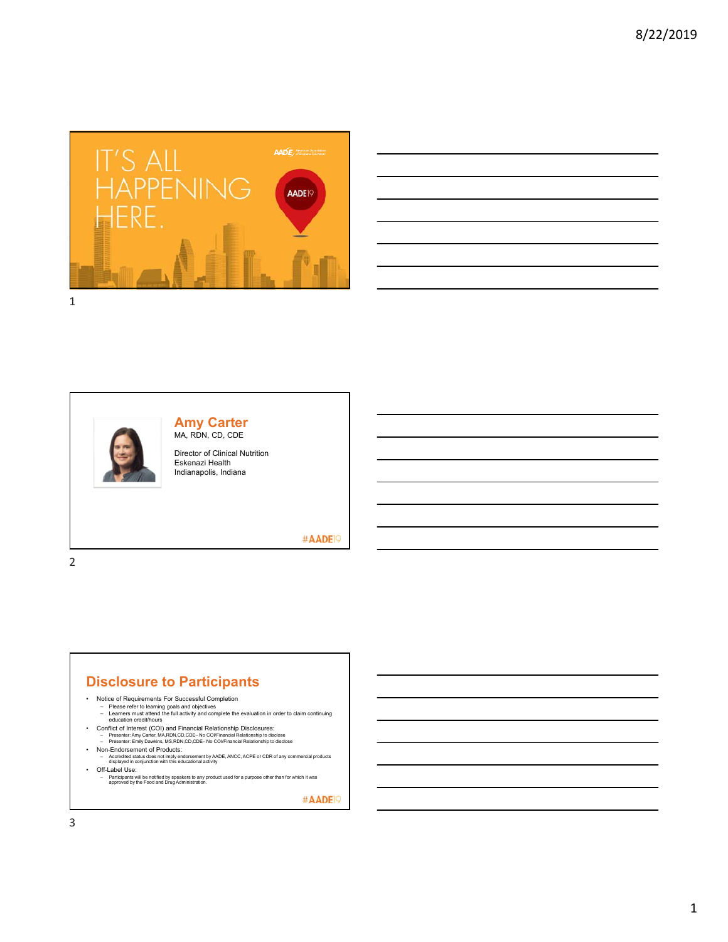

|                                                                                                                        |  | ,我们的人们就会在这里,我们的人们就会在这里,我们的人们就会在这里,我们的人们就会在这里,我们的人们就会在这里,我们的人们就会在这里,我们的人们就会在这里,我们                                     |
|------------------------------------------------------------------------------------------------------------------------|--|----------------------------------------------------------------------------------------------------------------------|
|                                                                                                                        |  |                                                                                                                      |
|                                                                                                                        |  |                                                                                                                      |
| <u> 1988 - Johann Stoff, deutscher Stoff, der Stoff, deutscher Stoff, der Stoff, der Stoff, der Stoff, der Stoff, </u> |  | $\sim$                                                                                                               |
|                                                                                                                        |  | <u> Album a componente de la contrada de la contrada de la contrada de la contrada de la contrada de la contrada</u> |
|                                                                                                                        |  | <u> 1989 - Johann Barbara, martxa alemaniar argamento este alemaniar alemaniar alemaniar alemaniar alemaniar a</u>   |
|                                                                                                                        |  |                                                                                                                      |
|                                                                                                                        |  |                                                                                                                      |
|                                                                                                                        |  | and the control of the control of the control of the control of the control of the control of the control of the     |



#### **Amy Carter** MA, RDN, CD, CDE

Director of Clinical Nutrition Eskenazi Health Indianapolis, Indiana

#### #AADE<sup>19</sup>

2

#### **Disclosure to Participants**

- -
- Notice of Requirements For Successful Completion Please refer to learning goals and objectives Learners must attend the full activity and complete the evaluation in order to claim continuing education credit/hours
	-
- Conflict of Interest (COI) and Financial Relationship Disclosures:<br>- Presenter: Amy Carter, MA,RDN,CD,CDE-No COl/Financial Relationship to disclose<br>- Presenter: Emily Dawkins, MS,RDN,CD,CDE-No COl/Financial Relationship
	-
- 
- Non-Endorsement of Products: Accredited status does not imply endorsement by AADE, ANCC, ACPE or CDR of any commercial products displayed in conjunction with this educational activity
- Off-Label Use: Participants will be notified by speakers to any product used for a purpose other than for which it was approved by the Food and Drug Administration.

#AADE<sup>19</sup>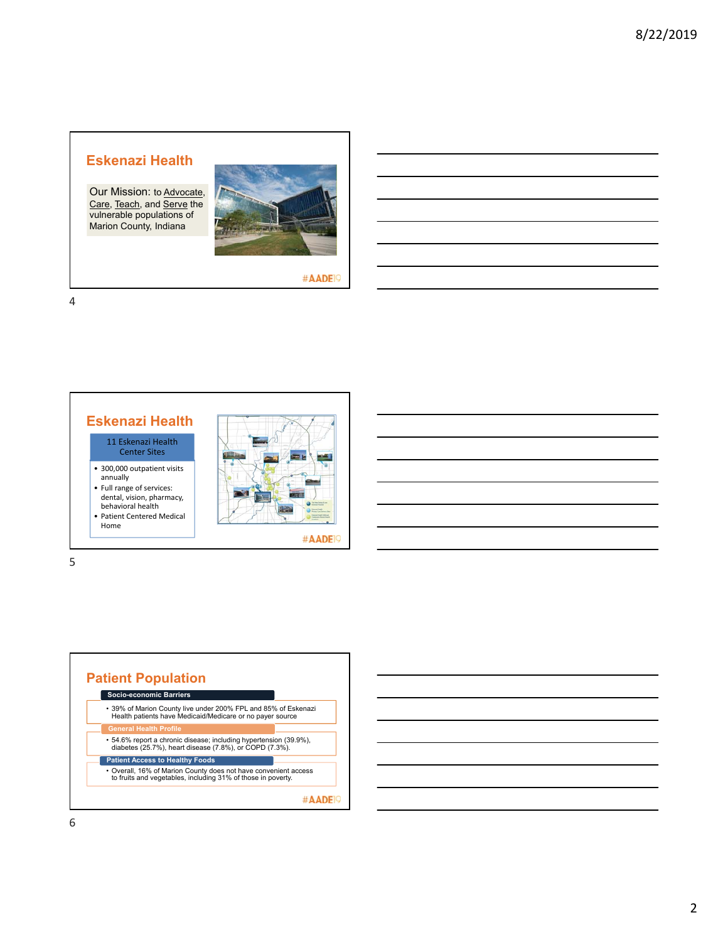#### **Eskenazi Health**

Our Mission: to Advocate, Care, Teach, and Serve the vulnerable populations of Marion County, Indiana



#AADE<sup>19</sup>



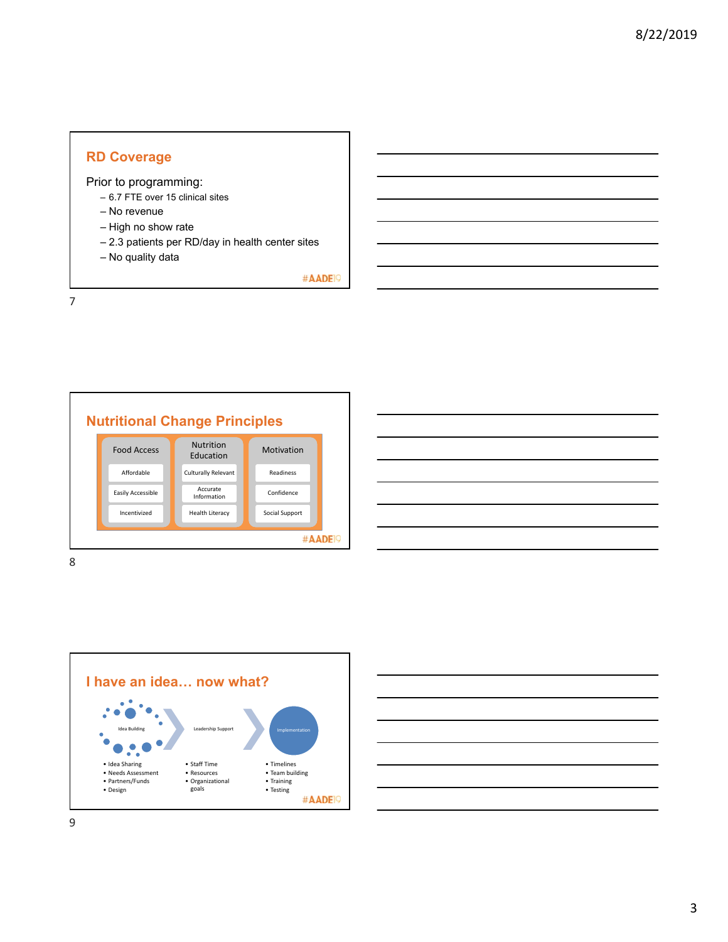#### **RD Coverage**

Prior to programming:

- 6.7 FTE over 15 clinical sites
- No revenue
- High no show rate
- 2.3 patients per RD/day in health center sites
- No quality data

#AADE<sup>19</sup>

7





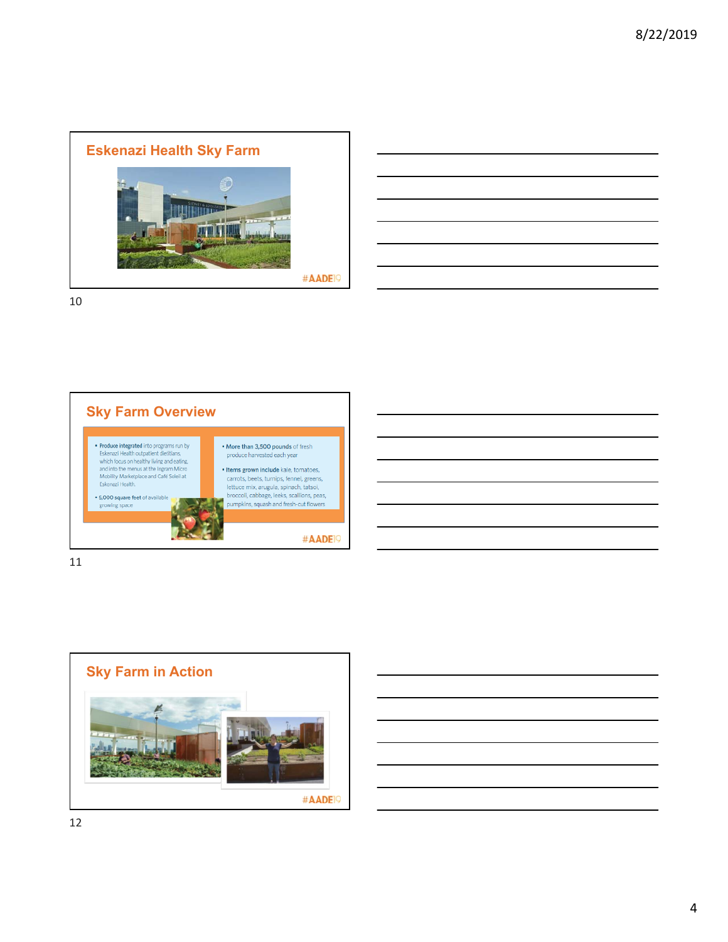

| <u> 1989 - Johann Stoff, amerikansk politiker (* 1908)</u>                                                            |  |  |
|-----------------------------------------------------------------------------------------------------------------------|--|--|
|                                                                                                                       |  |  |
| and the control of the control of the control of the control of the control of the control of the control of the      |  |  |
| <u> 1989 - Johann Stoff, deutscher Stoffen und der Stoffen und der Stoffen und der Stoffen und der Stoffen und de</u> |  |  |
|                                                                                                                       |  |  |
|                                                                                                                       |  |  |
|                                                                                                                       |  |  |





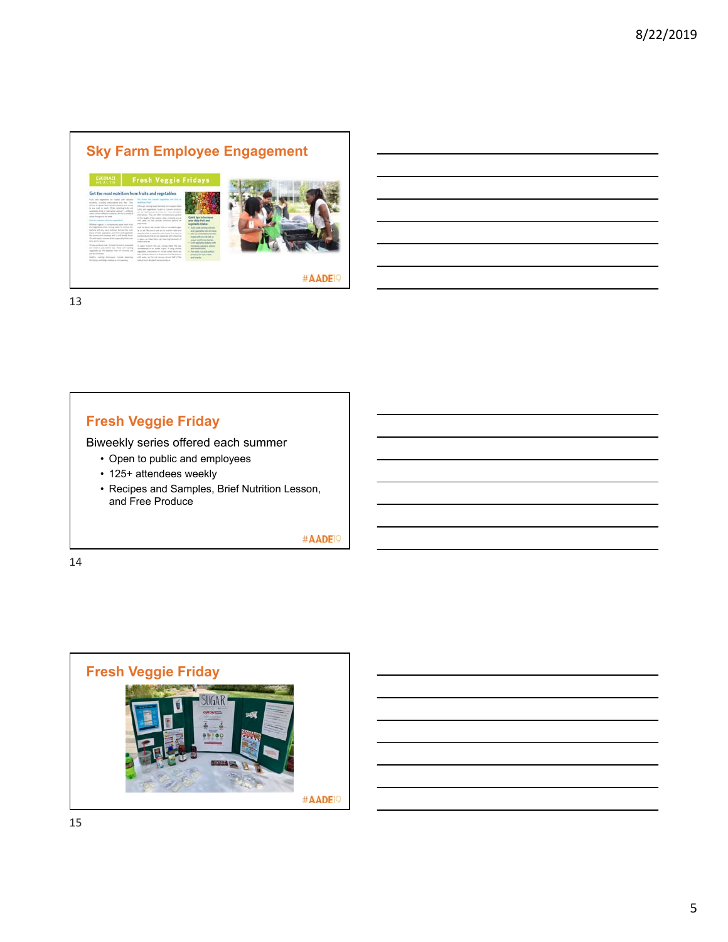# **Sky Farm Employee Engagement** #AADE<sup>19</sup>

13

# **Fresh Veggie Friday**

Biweekly series offered each summer

- Open to public and employees
- 125+ attendees weekly
- Recipes and Samples, Brief Nutrition Lesson, and Free Produce

#AADE<sup>19</sup>

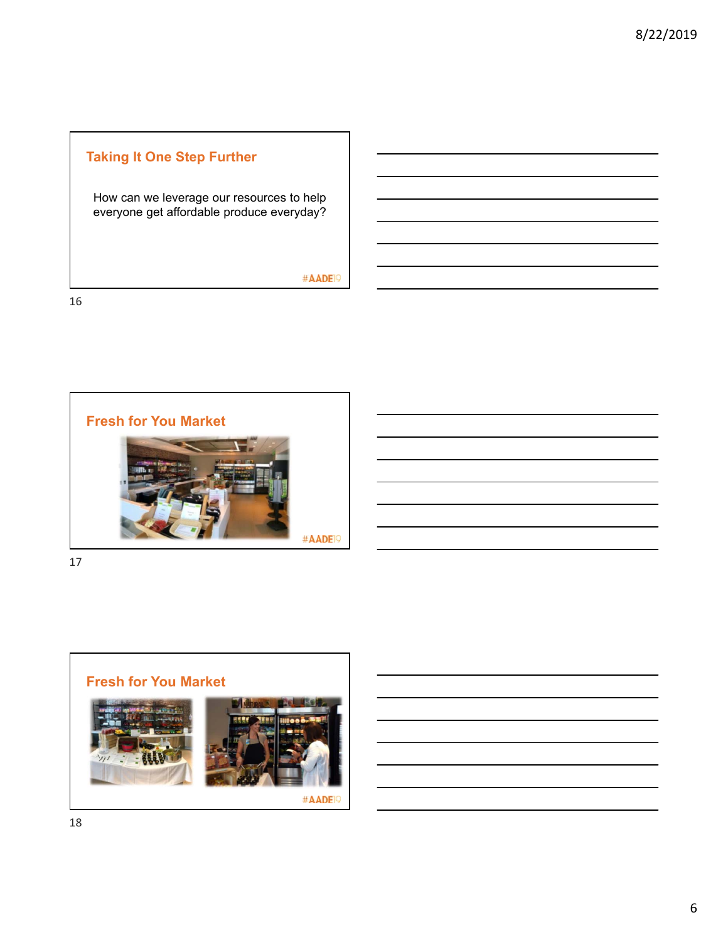#### **Taking It One Step Further**

How can we leverage our resources to help everyone get affordable produce everyday?

#AADE<sup>19</sup>

16



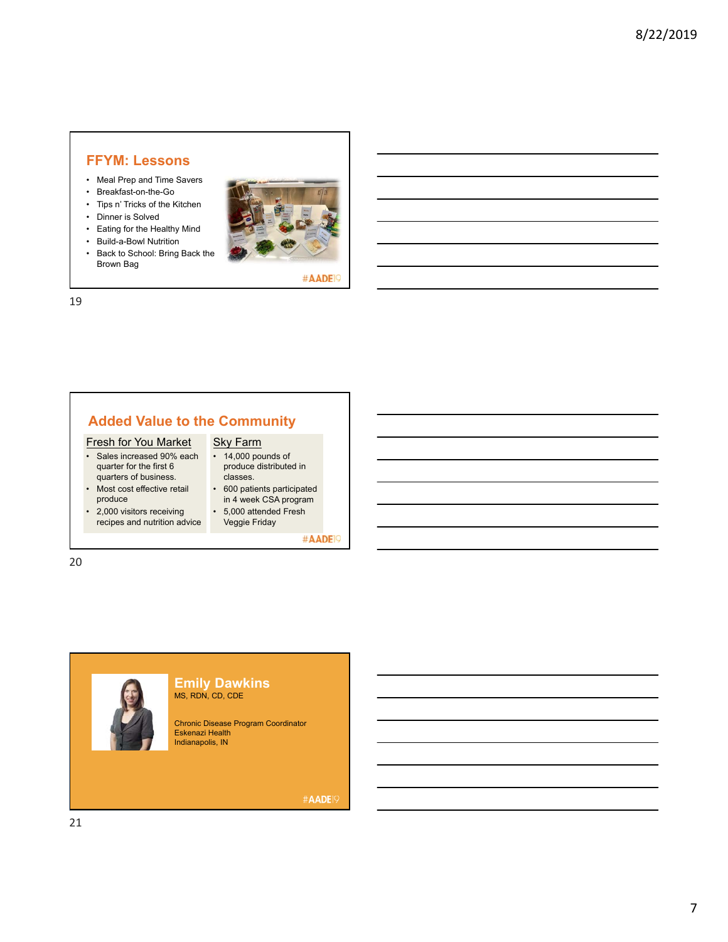#### **FFYM: Lessons**

- Meal Prep and Time Savers
- Breakfast-on-the-Go
- Tips n' Tricks of the Kitchen
- Dinner is Solved
- Eating for the Healthy Mind
- Build-a-Bowl Nutrition
- Back to School: Bring Back the Brown Bag



#AADE<sup>19</sup>

# **Added Value to the Community**

#### Fresh for You Market

- Sales increased 90% each quarter for the first 6 quarters of business.
- Most cost effective retail produce
- 2,000 visitors receiving recipes and nutrition advice

#### • 600 patients participated in 4 week CSA program

• 5,000 attended Fresh

Sky Farm • 14,000 pounds of produce distributed in

classes.

Veggie Friday

#AADE<sup>19</sup>

20

19



#AADE<sup>19</sup>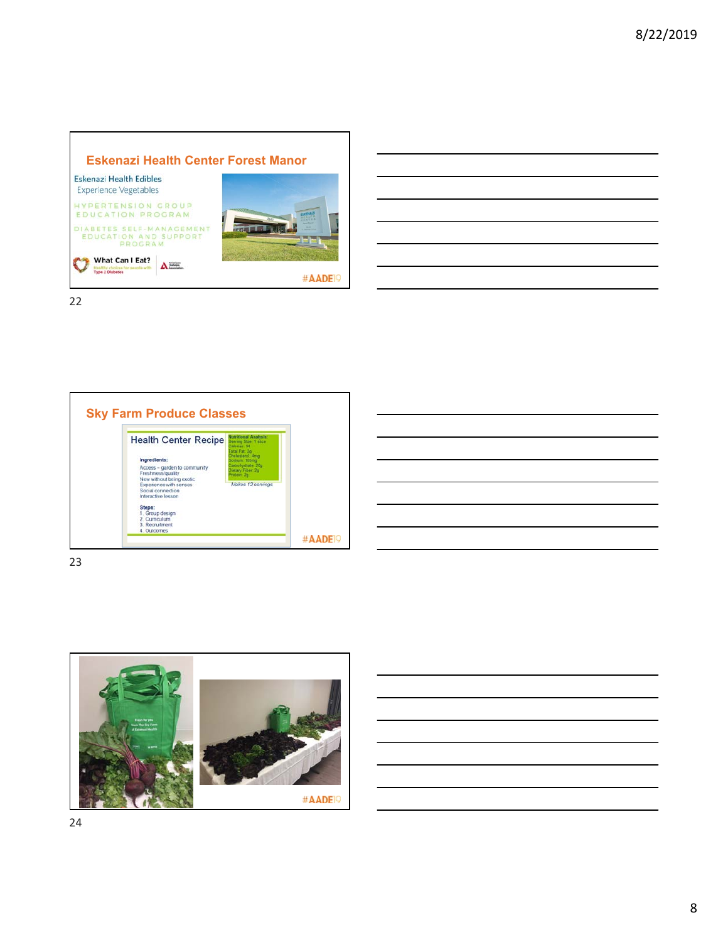

22



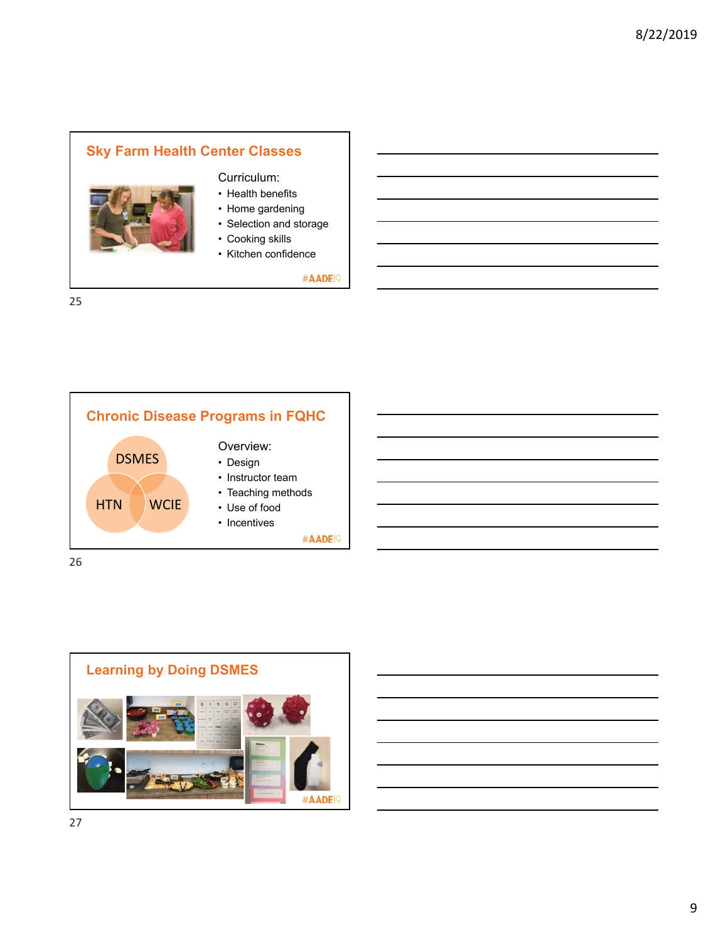# **Sky Farm Health Center Classes**

# Curriculum:

- Health benefits
- Home gardening
- Selection and storage
- Cooking skills
- Kitchen confidence

#AADE<sup>19</sup>



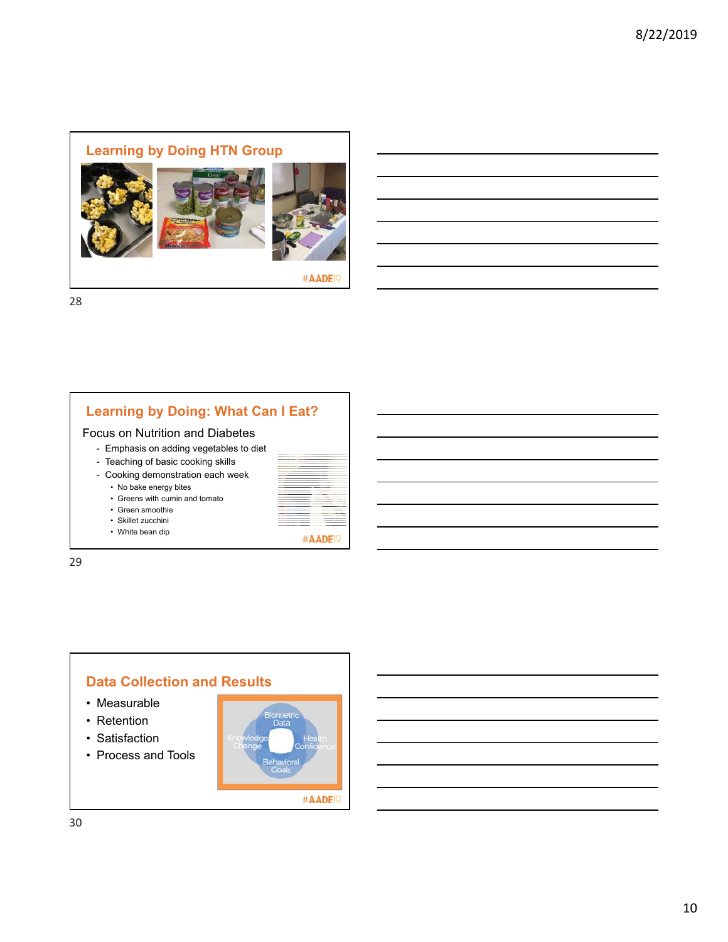#### **Learning by Doing HTN Group**



#AADE<sup>19</sup>

28

# **Learning by Doing: What Can I Eat?**

Focus on Nutrition and Diabetes

- Emphasis on adding vegetables to diet
- Teaching of basic cooking skills
- Cooking demonstration each week
	- No bake energy bites • Greens with cumin and tomato

• Green smoothie • Skillet zucchini • White bean dip

| the control of the control of the control of the control of the control of the control of the control of the control of the control of the control of the control of the control of the control of the control of the control<br>the control of the control of the control of the control of the control of the control of<br>the control of the control of the control of the control of the control of the control of the control of the control of the control of the control of the control of the control of the control of the control of the control<br>and the control of the control of the control of the control of the control of the control of the control of the control of the control of the control of the control of the control of the control of the control of the cont<br>the control of the control of the control of the control of the control of the control of<br>the control of the control of the control of the control of the control of the control of |  |
|-----------------------------------------------------------------------------------------------------------------------------------------------------------------------------------------------------------------------------------------------------------------------------------------------------------------------------------------------------------------------------------------------------------------------------------------------------------------------------------------------------------------------------------------------------------------------------------------------------------------------------------------------------------------------------------------------------------------------------------------------------------------------------------------------------------------------------------------------------------------------------------------------------------------------------------------------------------------------------------------|--|
|                                                                                                                                                                                                                                                                                                                                                                                                                                                                                                                                                                                                                                                                                                                                                                                                                                                                                                                                                                                         |  |
|                                                                                                                                                                                                                                                                                                                                                                                                                                                                                                                                                                                                                                                                                                                                                                                                                                                                                                                                                                                         |  |
|                                                                                                                                                                                                                                                                                                                                                                                                                                                                                                                                                                                                                                                                                                                                                                                                                                                                                                                                                                                         |  |
|                                                                                                                                                                                                                                                                                                                                                                                                                                                                                                                                                                                                                                                                                                                                                                                                                                                                                                                                                                                         |  |
|                                                                                                                                                                                                                                                                                                                                                                                                                                                                                                                                                                                                                                                                                                                                                                                                                                                                                                                                                                                         |  |
|                                                                                                                                                                                                                                                                                                                                                                                                                                                                                                                                                                                                                                                                                                                                                                                                                                                                                                                                                                                         |  |
|                                                                                                                                                                                                                                                                                                                                                                                                                                                                                                                                                                                                                                                                                                                                                                                                                                                                                                                                                                                         |  |
|                                                                                                                                                                                                                                                                                                                                                                                                                                                                                                                                                                                                                                                                                                                                                                                                                                                                                                                                                                                         |  |
|                                                                                                                                                                                                                                                                                                                                                                                                                                                                                                                                                                                                                                                                                                                                                                                                                                                                                                                                                                                         |  |
|                                                                                                                                                                                                                                                                                                                                                                                                                                                                                                                                                                                                                                                                                                                                                                                                                                                                                                                                                                                         |  |
|                                                                                                                                                                                                                                                                                                                                                                                                                                                                                                                                                                                                                                                                                                                                                                                                                                                                                                                                                                                         |  |
|                                                                                                                                                                                                                                                                                                                                                                                                                                                                                                                                                                                                                                                                                                                                                                                                                                                                                                                                                                                         |  |
|                                                                                                                                                                                                                                                                                                                                                                                                                                                                                                                                                                                                                                                                                                                                                                                                                                                                                                                                                                                         |  |
|                                                                                                                                                                                                                                                                                                                                                                                                                                                                                                                                                                                                                                                                                                                                                                                                                                                                                                                                                                                         |  |
|                                                                                                                                                                                                                                                                                                                                                                                                                                                                                                                                                                                                                                                                                                                                                                                                                                                                                                                                                                                         |  |
|                                                                                                                                                                                                                                                                                                                                                                                                                                                                                                                                                                                                                                                                                                                                                                                                                                                                                                                                                                                         |  |
|                                                                                                                                                                                                                                                                                                                                                                                                                                                                                                                                                                                                                                                                                                                                                                                                                                                                                                                                                                                         |  |

#AADE<sup>19</sup>

29

#### **Data Collection and Results**

- Measurable
- Retention
- Satisfaction
- Process and Tools

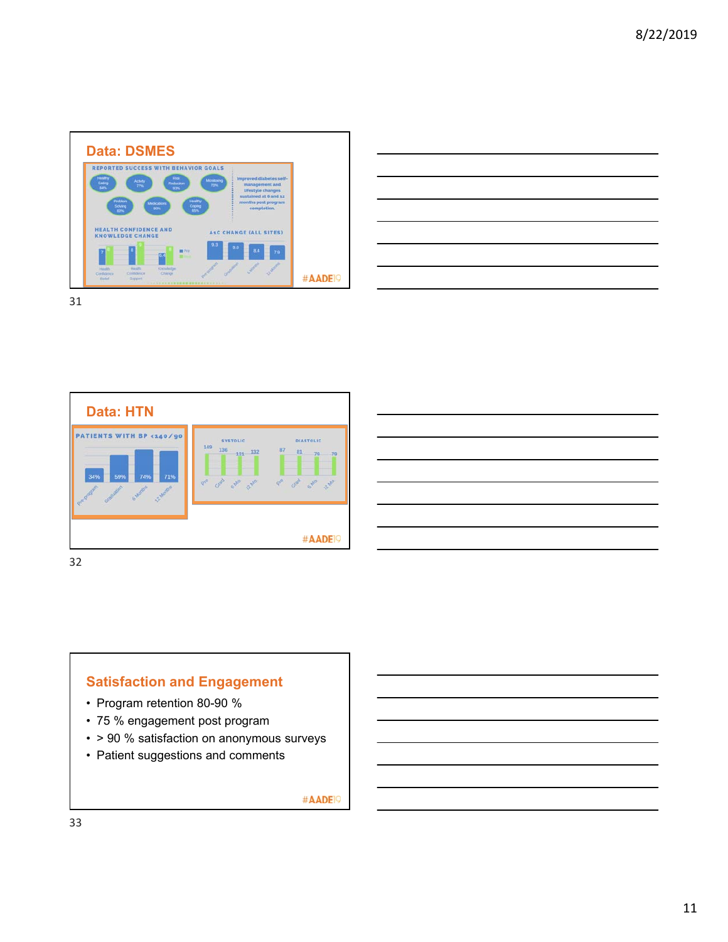

|                          | <u>successive and the second control of the second control of the second control of the second control of the second</u> |  |  |
|--------------------------|--------------------------------------------------------------------------------------------------------------------------|--|--|
|                          |                                                                                                                          |  |  |
|                          | <u> Andreas Andreas Andreas Andreas Andreas Andreas Andreas Andreas Andreas Andreas Andreas Andreas Andreas Andr</u>     |  |  |
|                          | and the contract of the contract of the contract of the contract of the contract of the contract of the contract of      |  |  |
| $\overline{\phantom{a}}$ |                                                                                                                          |  |  |
|                          | and the contract of the contract of the contract of the contract of the contract of the contract of the contract of      |  |  |
|                          | <u> 1989 - Andrea Santa Andrea Andrea Andrea Andrea Andrea Andrea Andrea Andrea Andrea Andrea Andrea Andrea Andr</u>     |  |  |
|                          |                                                                                                                          |  |  |

31



32

# **Satisfaction and Engagement**

- Program retention 80-90 %
- 75 % engagement post program
- > 90 % satisfaction on anonymous surveys
- Patient suggestions and comments

#AADE<sup>19</sup>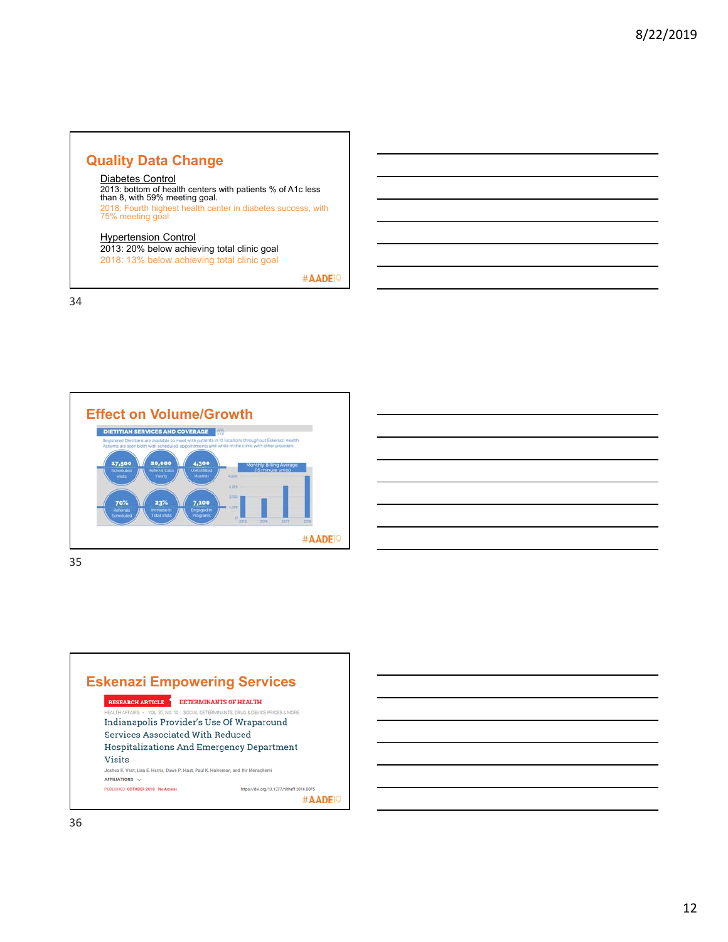## **Quality Data Change**

#### Diabetes Control

2013: bottom of health centers with patients % of A1c less than 8, with 59% meeting goal. 2018: Fourth highest health center in diabetes success, with 75% meeting goal

#### Hypertension Control

2013: 20% below achieving total clinic goal 2018: 13% below achieving total clinic goal

#AADE<sup>19</sup>